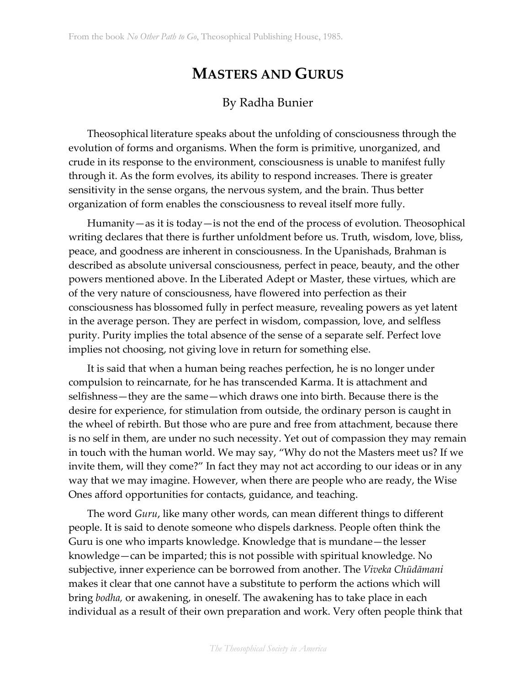## **MASTERS AND GURUS**

## By Radha Bunier

Theosophical literature speaks about the unfolding of consciousness through the evolution of forms and organisms. When the form is primitive, unorganized, and crude in its response to the environment, consciousness is unable to manifest fully through it. As the form evolves, its ability to respond increases. There is greater sensitivity in the sense organs, the nervous system, and the brain. Thus better organization of form enables the consciousness to reveal itself more fully.

Humanity—as it is today—is not the end of the process of evolution. Theosophical writing declares that there is further unfoldment before us. Truth, wisdom, love, bliss, peace, and goodness are inherent in consciousness. In the Upanishads, Brahman is described as absolute universal consciousness, perfect in peace, beauty, and the other powers mentioned above. In the Liberated Adept or Master, these virtues, which are of the very nature of consciousness, have flowered into perfection as their consciousness has blossomed fully in perfect measure, revealing powers as yet latent in the average person. They are perfect in wisdom, compassion, love, and selfless purity. Purity implies the total absence of the sense of a separate self. Perfect love implies not choosing, not giving love in return for something else.

It is said that when a human being reaches perfection, he is no longer under compulsion to reincarnate, for he has transcended Karma. It is attachment and selfishness—they are the same—which draws one into birth. Because there is the desire for experience, for stimulation from outside, the ordinary person is caught in the wheel of rebirth. But those who are pure and free from attachment, because there is no self in them, are under no such necessity. Yet out of compassion they may remain in touch with the human world. We may say, "Why do not the Masters meet us? If we invite them, will they come?" In fact they may not act according to our ideas or in any way that we may imagine. However, when there are people who are ready, the Wise Ones afford opportunities for contacts, guidance, and teaching.

The word *Guru*, like many other words, can mean different things to different people. It is said to denote someone who dispels darkness. People often think the Guru is one who imparts knowledge. Knowledge that is mundane—the lesser knowledge—can be imparted; this is not possible with spiritual knowledge. No subjective, inner experience can be borrowed from another. The *Viveka Chūdāmani* makes it clear that one cannot have a substitute to perform the actions which will bring *bodha,* or awakening, in oneself. The awakening has to take place in each individual as a result of their own preparation and work. Very often people think that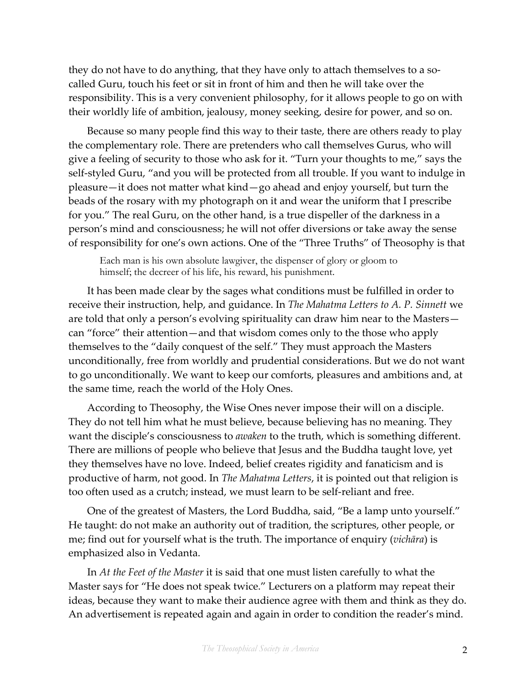they do not have to do anything, that they have only to attach themselves to a socalled Guru, touch his feet or sit in front of him and then he will take over the responsibility. This is a very convenient philosophy, for it allows people to go on with their worldly life of ambition, jealousy, money seeking, desire for power, and so on.

Because so many people find this way to their taste, there are others ready to play the complementary role. There are pretenders who call themselves Gurus, who will give a feeling of security to those who ask for it. "Turn your thoughts to me," says the self-styled Guru, "and you will be protected from all trouble. If you want to indulge in pleasure—it does not matter what kind—go ahead and enjoy yourself, but turn the beads of the rosary with my photograph on it and wear the uniform that I prescribe for you." The real Guru, on the other hand, is a true dispeller of the darkness in a person's mind and consciousness; he will not offer diversions or take away the sense of responsibility for one's own actions. One of the "Three Truths" of Theosophy is that

Each man is his own absolute lawgiver, the dispenser of glory or gloom to himself; the decreer of his life, his reward, his punishment.

It has been made clear by the sages what conditions must be fulfilled in order to receive their instruction, help, and guidance. In *The Mahatma Letters to A. P. Sinnett* we are told that only a person's evolving spirituality can draw him near to the Masters can "force" their attention—and that wisdom comes only to the those who apply themselves to the "daily conquest of the self." They must approach the Masters unconditionally, free from worldly and prudential considerations. But we do not want to go unconditionally. We want to keep our comforts, pleasures and ambitions and, at the same time, reach the world of the Holy Ones.

According to Theosophy, the Wise Ones never impose their will on a disciple. They do not tell him what he must believe, because believing has no meaning. They want the disciple's consciousness to *awaken* to the truth, which is something different. There are millions of people who believe that Jesus and the Buddha taught love, yet they themselves have no love. Indeed, belief creates rigidity and fanaticism and is productive of harm, not good. In *The Mahatma Letters*, it is pointed out that religion is too often used as a crutch; instead, we must learn to be self-reliant and free.

One of the greatest of Masters, the Lord Buddha, said, "Be a lamp unto yourself." He taught: do not make an authority out of tradition, the scriptures, other people, or me; find out for yourself what is the truth. The importance of enquiry (*vichāra*) is emphasized also in Vedanta.

In *At the Feet of the Master* it is said that one must listen carefully to what the Master says for "He does not speak twice." Lecturers on a platform may repeat their ideas, because they want to make their audience agree with them and think as they do. An advertisement is repeated again and again in order to condition the reader's mind.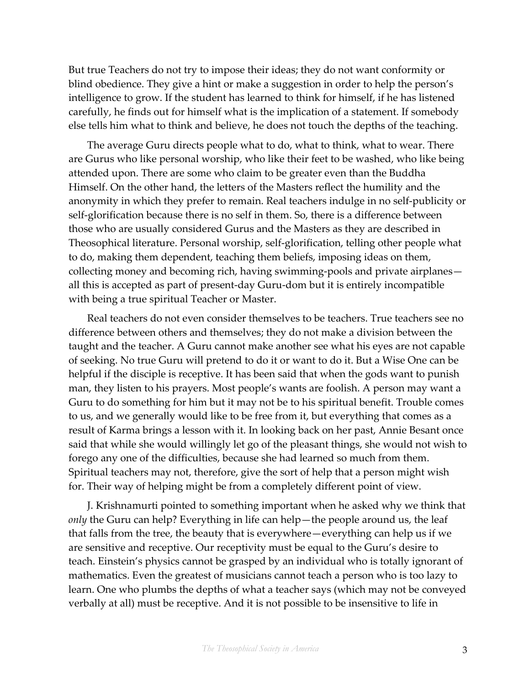But true Teachers do not try to impose their ideas; they do not want conformity or blind obedience. They give a hint or make a suggestion in order to help the person's intelligence to grow. If the student has learned to think for himself, if he has listened carefully, he finds out for himself what is the implication of a statement. If somebody else tells him what to think and believe, he does not touch the depths of the teaching.

The average Guru directs people what to do, what to think, what to wear. There are Gurus who like personal worship, who like their feet to be washed, who like being attended upon. There are some who claim to be greater even than the Buddha Himself. On the other hand, the letters of the Masters reflect the humility and the anonymity in which they prefer to remain. Real teachers indulge in no self-publicity or self-glorification because there is no self in them. So, there is a difference between those who are usually considered Gurus and the Masters as they are described in Theosophical literature. Personal worship, self-glorification, telling other people what to do, making them dependent, teaching them beliefs, imposing ideas on them, collecting money and becoming rich, having swimming-pools and private airplanes all this is accepted as part of present-day Guru-dom but it is entirely incompatible with being a true spiritual Teacher or Master.

Real teachers do not even consider themselves to be teachers. True teachers see no difference between others and themselves; they do not make a division between the taught and the teacher. A Guru cannot make another see what his eyes are not capable of seeking. No true Guru will pretend to do it or want to do it. But a Wise One can be helpful if the disciple is receptive. It has been said that when the gods want to punish man, they listen to his prayers. Most people's wants are foolish. A person may want a Guru to do something for him but it may not be to his spiritual benefit. Trouble comes to us, and we generally would like to be free from it, but everything that comes as a result of Karma brings a lesson with it. In looking back on her past, Annie Besant once said that while she would willingly let go of the pleasant things, she would not wish to forego any one of the difficulties, because she had learned so much from them. Spiritual teachers may not, therefore, give the sort of help that a person might wish for. Their way of helping might be from a completely different point of view.

J. Krishnamurti pointed to something important when he asked why we think that *only* the Guru can help? Everything in life can help—the people around us, the leaf that falls from the tree, the beauty that is everywhere—everything can help us if we are sensitive and receptive. Our receptivity must be equal to the Guru's desire to teach. Einstein's physics cannot be grasped by an individual who is totally ignorant of mathematics. Even the greatest of musicians cannot teach a person who is too lazy to learn. One who plumbs the depths of what a teacher says (which may not be conveyed verbally at all) must be receptive. And it is not possible to be insensitive to life in